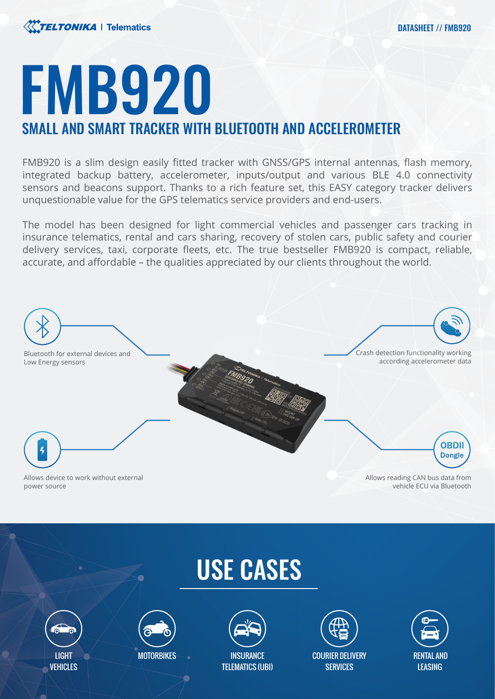

# FMB920 SMALL AND SMART TRACKER WITH BLUETOOTH AND ACCELEROMETER

FMB920 is a slim design easily fitted tracker with GNSS/GPS internal antennas, flash memory, integrated backup battery, accelerometer, inputs/output and various BLE 4.0 connectivity sensors and beacons support. Thanks to a rich feature set, this EASY category tracker delivers unquestionable value for the GPS telematics service providers and end-users.

The model has been designed for light commercial vehicles and passenger cars tracking in insurance telematics, rental and cars sharing, recovery of stolen cars, public safety and courier delivery services, taxi, corporate fleets, etc. The true bestseller FMB920 is compact, reliable, accurate, and affordable – the qualities appreciated by our clients throughout the world.



## USE CASES





**MOTORBIKES** 



COURIER DELIVERY **SERVICES** 

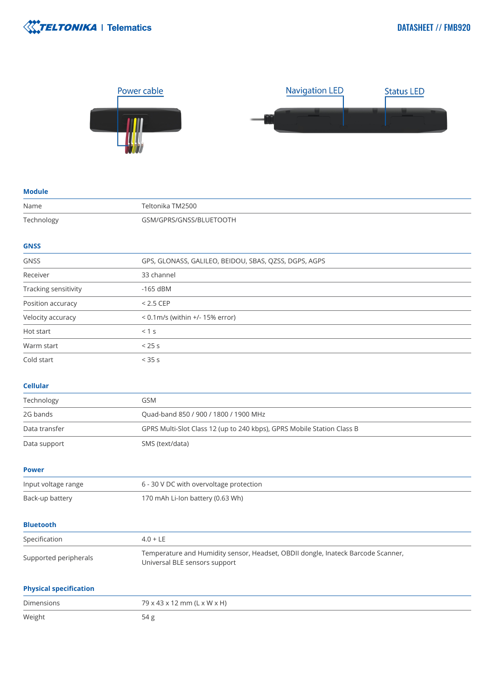



### **Module** Name Teltonika TM2500 Technology GSM/GPRS/GNSS/BLUETOOTH **GNSS** GNSS GPS, GLONASS, GALILEO, BEIDOU, SBAS, QZSS, DGPS, AGPS Receiver 23 channel Tracking sensitivity and the sensitivity of the sensitivity Position accuracy  $\leq$  2.5 CEP Velocity accuracy < 0.1m/s (within +/- 15% error) Hot start < 1 s Warm start  $< 25 \text{ s}$ Cold start < 35 s **Cellular** Technology GSM

| Technology                    | ועוכם                                                                                                             |
|-------------------------------|-------------------------------------------------------------------------------------------------------------------|
| 2G bands                      | Quad-band 850 / 900 / 1800 / 1900 MHz                                                                             |
| Data transfer                 | GPRS Multi-Slot Class 12 (up to 240 kbps), GPRS Mobile Station Class B                                            |
| Data support                  | SMS (text/data)                                                                                                   |
| <b>Power</b>                  |                                                                                                                   |
| Input voltage range           | 6 - 30 V DC with overvoltage protection                                                                           |
| Back-up battery               | 170 mAh Li-Ion battery (0.63 Wh)                                                                                  |
| <b>Bluetooth</b>              |                                                                                                                   |
| Specification                 | $4.0 + LE$                                                                                                        |
| Supported peripherals         | Temperature and Humidity sensor, Headset, OBDII dongle, Inateck Barcode Scanner,<br>Universal BLE sensors support |
| <b>Physical specification</b> |                                                                                                                   |

| Dimensions | 79 x 43 x 12 mm (L x W x H) |
|------------|-----------------------------|
| Weight     | 54 g                        |